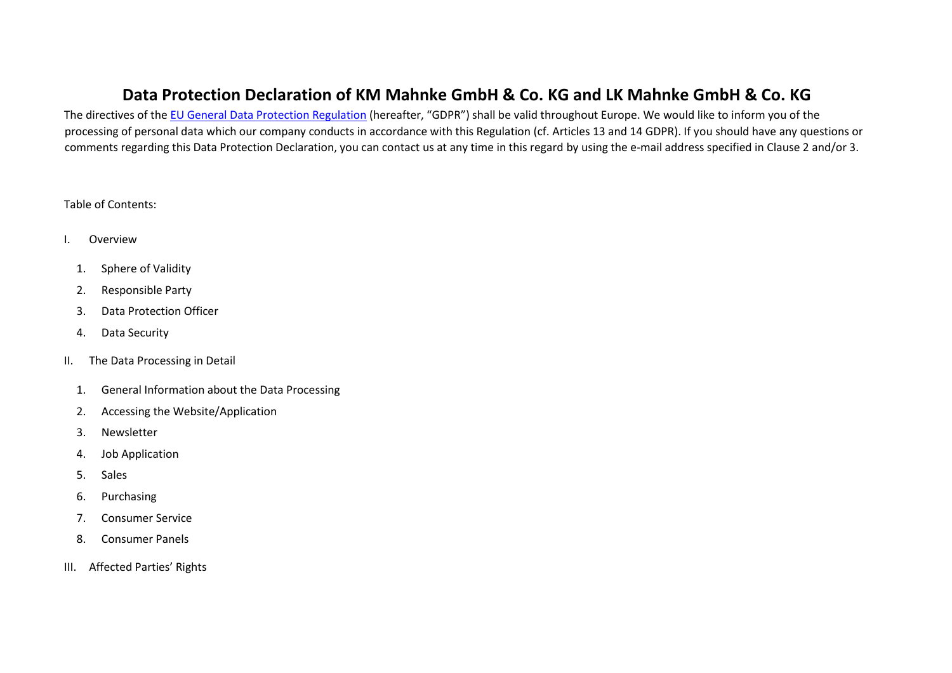# **Data Protection Declaration of KM Mahnke GmbH & Co. KG and LK Mahnke GmbH & Co. KG**

The directives of the EU General Data Protection Regulation (hereafter, "GDPR") shall be valid throughout Europe. We would like to inform you of the processing of personal data which our company conducts in accordance with this Regulation (cf. Articles 13 and 14 GDPR). If you should have any questions or comments regarding this Data Protection Declaration, you can contact us at any time in this regard by using the e-mail address specified in Clause 2 and/or 3.

### Table of Contents:

- I. Overview
	- 1. Sphere of Validity
	- 2. Responsible Party
	- 3. Data Protection Officer
	- 4. Data Security
- II. The Data Processing in Detail
	- 1. General Information about the Data Processing
	- 2. Accessing the Website/Application
	- 3. Newsletter
	- 4. Job Application
	- 5. Sales
	- 6. Purchasing
	- 7. Consumer Service
	- 8. Consumer Panels
- III. Affected Parties' Rights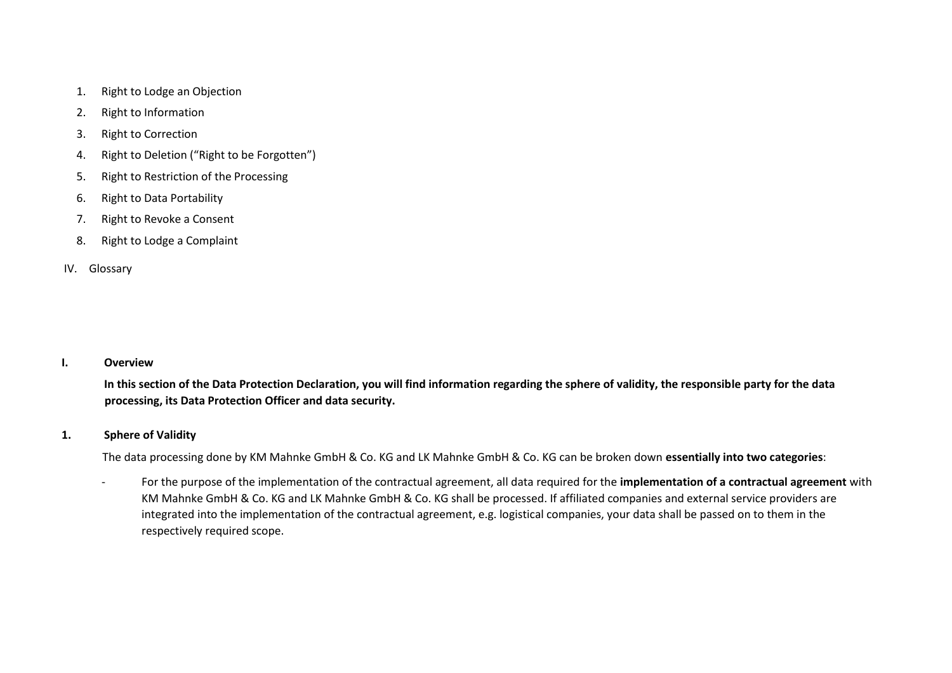- 1. Right to Lodge an Objection
- 2. Right to Information
- 3. Right to Correction
- 4. Right to Deletion ("Right to be Forgotten")
- 5. Right to Restriction of the Processing
- 6. Right to Data Portability
- 7. Right to Revoke a Consent
- 8. Right to Lodge a Complaint

### IV. Glossary

### **I. Overview**

**In this section of the Data Protection Declaration, you will find information regarding the sphere of validity, the responsible party for the data processing, its Data Protection Officer and data security.** 

### **1. Sphere of Validity**

The data processing done by KM Mahnke GmbH & Co. KG and LK Mahnke GmbH & Co. KG can be broken down **essentially into two categories**:

‐ For the purpose of the implementation of the contractual agreement, all data required for the **implementation of a contractual agreement** with KM Mahnke GmbH & Co. KG and LK Mahnke GmbH & Co. KG shall be processed. If affiliated companies and external service providers are integrated into the implementation of the contractual agreement, e.g. logistical companies, your data shall be passed on to them in the respectively required scope.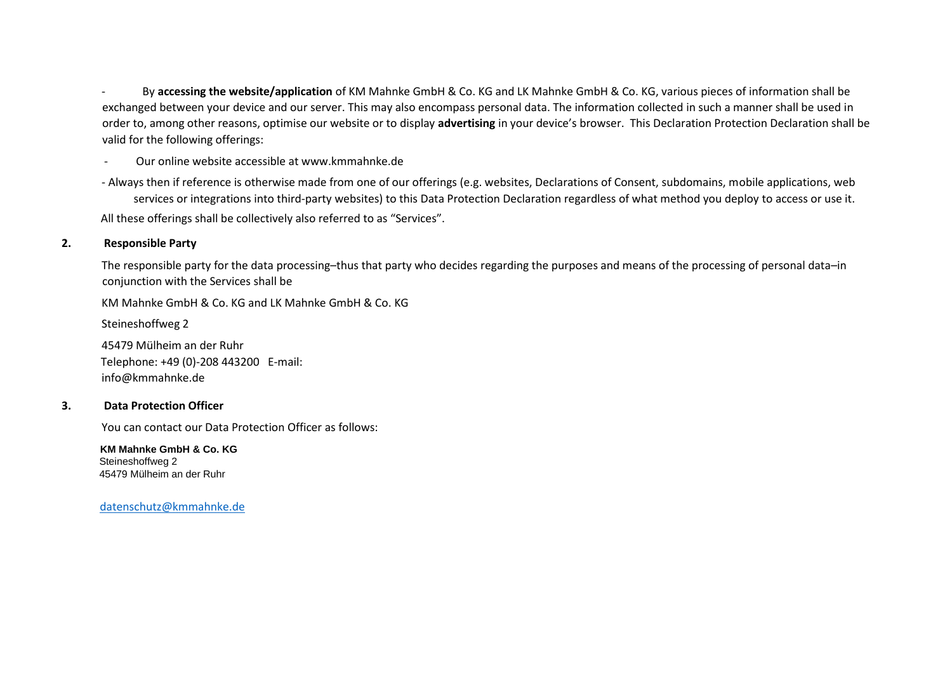‐ By **accessing the website/application** of KM Mahnke GmbH & Co. KG and LK Mahnke GmbH & Co. KG, various pieces of information shall be exchanged between your device and our server. This may also encompass personal data. The information collected in such a manner shall be used in order to, among other reasons, optimise our website or to display **advertising** in your device's browser. This Declaration Protection Declaration shall be valid for the following offerings:

‐ Our online website accessible at www.kmmahnke.de

‐ Always then if reference is otherwise made from one of our offerings (e.g. websites, Declarations of Consent, subdomains, mobile applications, web services or integrations into third‐party websites) to this Data Protection Declaration regardless of what method you deploy to access or use it. All these offerings shall be collectively also referred to as "Services".

### **2. Responsible Party**

The responsible party for the data processing–thus that party who decides regarding the purposes and means of the processing of personal data–in conjunction with the Services shall be

KM Mahnke GmbH & Co. KG and LK Mahnke GmbH & Co. KG

Steineshoffweg 2

45479 Mülheim an der Ruhr Telephone: +49 (0)‐208 443200 E‐mail: info@kmmahnke.de

### **3. Data Protection Officer**

You can contact our Data Protection Officer as follows:

 **KM Mahnke GmbH & Co. KG**  Steineshoffweg 2 45479 Mülheim an der Ruhr

datenschutz@kmmahnke.de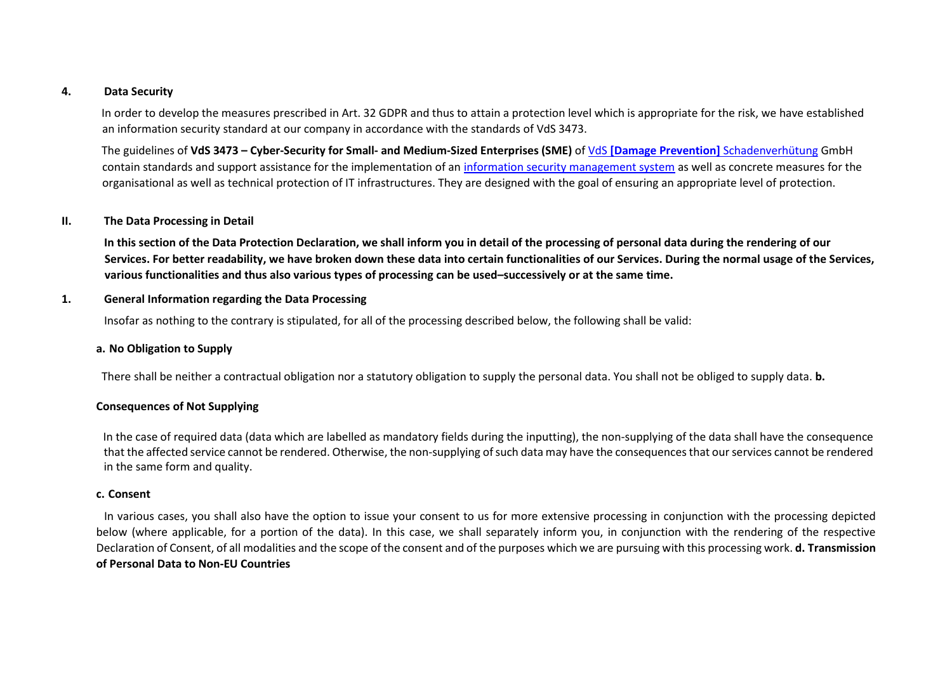#### **4. Data Security**

In order to develop the measures prescribed in Art. 32 GDPR and thus to attain a protection level which is appropriate for the risk, we have established an information security standard at our company in accordance with the standards of VdS 3473.

The guidelines of **VdS 3473 – Cyber‐Security for Small‐ and Medium‐Sized Enterprises (SME)** of VdS **[Damage Prevention]** Schadenverhütung GmbH contain standards and support assistance for the implementation of an information security management system as well as concrete measures for the organisational as well as technical protection of IT infrastructures. They are designed with the goal of ensuring an appropriate level of protection.

### **II. The Data Processing in Detail**

**In this section of the Data Protection Declaration, we shall inform you in detail of the processing of personal data during the rendering of our Services. For better readability, we have broken down these data into certain functionalities of our Services. During the normal usage of the Services, various functionalities and thus also various types of processing can be used–successively or at the same time.** 

#### **1. General Information regarding the Data Processing**

Insofar as nothing to the contrary is stipulated, for all of the processing described below, the following shall be valid:

### **a. No Obligation to Supply**

There shall be neither a contractual obligation nor a statutory obligation to supply the personal data. You shall not be obliged to supply data. **b.**

### **Consequences of Not Supplying**

In the case of required data (data which are labelled as mandatory fields during the inputting), the non-supplying of the data shall have the consequence that the affected service cannot be rendered. Otherwise, the non‐supplying of such data may have the consequences that our services cannot be rendered in the same form and quality.

#### **c. Consent**

In various cases, you shall also have the option to issue your consent to us for more extensive processing in conjunction with the processing depicted below (where applicable, for a portion of the data). In this case, we shall separately inform you, in conjunction with the rendering of the respective Declaration of Consent, of all modalities and the scope of the consent and of the purposes which we are pursuing with this processing work. **d. Transmission of Personal Data to Non‐EU Countries**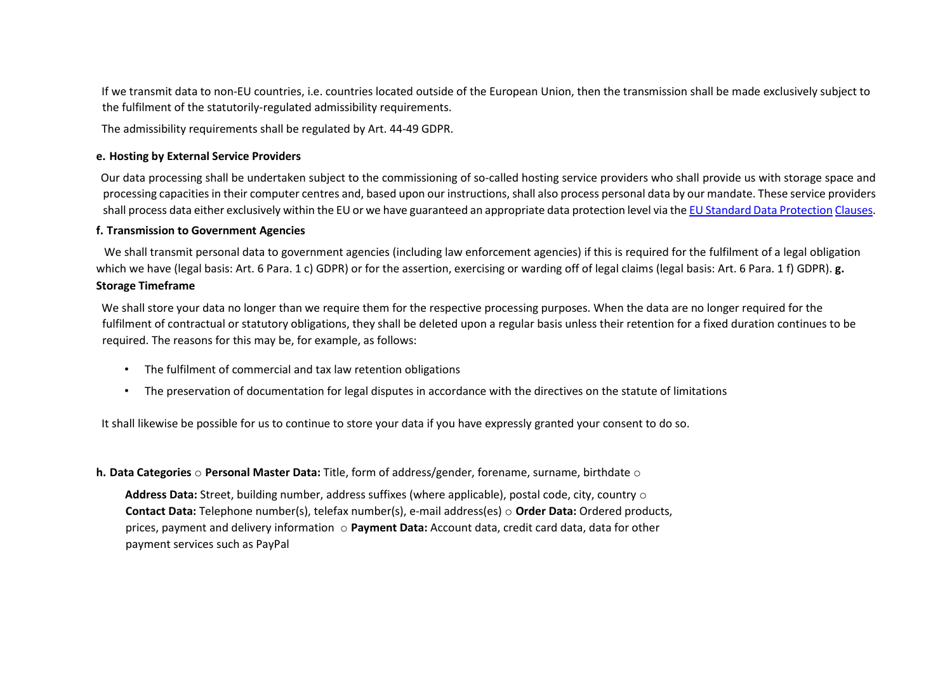If we transmit data to non‐EU countries, i.e. countries located outside of the European Union, then the transmission shall be made exclusively subject to the fulfilment of the statutorily‐regulated admissibility requirements.

The admissibility requirements shall be regulated by Art. 44‐49 GDPR.

### **e. Hosting by External Service Providers**

Our data processing shall be undertaken subject to the commissioning of so-called hosting service providers who shall provide us with storage space and processing capacities in their computer centres and, based upon our instructions, shall also process personal data by our mandate. These service providers shall process data either exclusively within the EU or we have guaranteed an appropriate data protection level via the EU Standard Data Protection Clauses.

### **f. Transmission to Government Agencies**

We shall transmit personal data to government agencies (including law enforcement agencies) if this is required for the fulfilment of a legal obligation which we have (legal basis: Art. 6 Para. 1 c) GDPR) or for the assertion, exercising or warding off of legal claims (legal basis: Art. 6 Para. 1 f) GDPR). **g. Storage Timeframe** 

We shall store your data no longer than we require them for the respective processing purposes. When the data are no longer required for the fulfilment of contractual or statutory obligations, they shall be deleted upon a regular basis unless their retention for a fixed duration continues to be required. The reasons for this may be, for example, as follows:

- The fulfilment of commercial and tax law retention obligations
- The preservation of documentation for legal disputes in accordance with the directives on the statute of limitations

It shall likewise be possible for us to continue to store your data if you have expressly granted your consent to do so.

### **h. Data Categories** o **Personal Master Data:** Title, form of address/gender, forename, surname, birthdate o

**Address Data:** Street, building number, address suffixes (where applicable), postal code, city, country o **Contact Data:** Telephone number(s), telefax number(s), e‐mail address(es) o **Order Data:** Ordered products, prices, payment and delivery information o **Payment Data:** Account data, credit card data, data for other payment services such as PayPal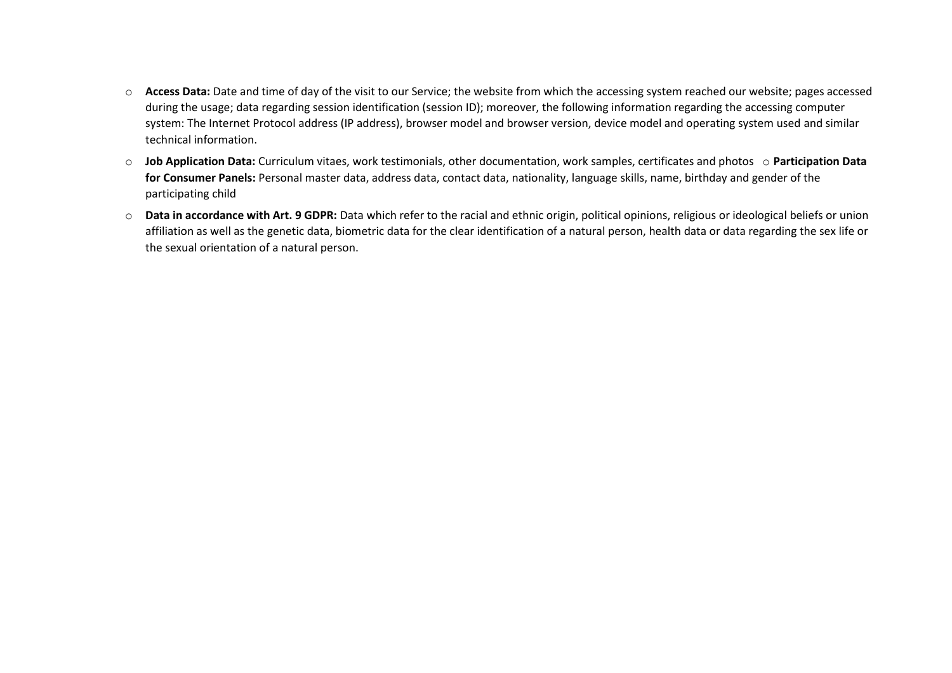- o **Access Data:** Date and time of day of the visit to our Service; the website from which the accessing system reached our website; pages accessed during the usage; data regarding session identification (session ID); moreover, the following information regarding the accessing computer system: The Internet Protocol address (IP address), browser model and browser version, device model and operating system used and similar technical information.
- o **Job Application Data:** Curriculum vitaes, work testimonials, other documentation, work samples, certificates and photos o **Participation Data for Consumer Panels:** Personal master data, address data, contact data, nationality, language skills, name, birthday and gender of the participating child
- o **Data in accordance with Art. 9 GDPR:** Data which refer to the racial and ethnic origin, political opinions, religious or ideological beliefs or union affiliation as well as the genetic data, biometric data for the clear identification of a natural person, health data or data regarding the sex life or the sexual orientation of a natural person.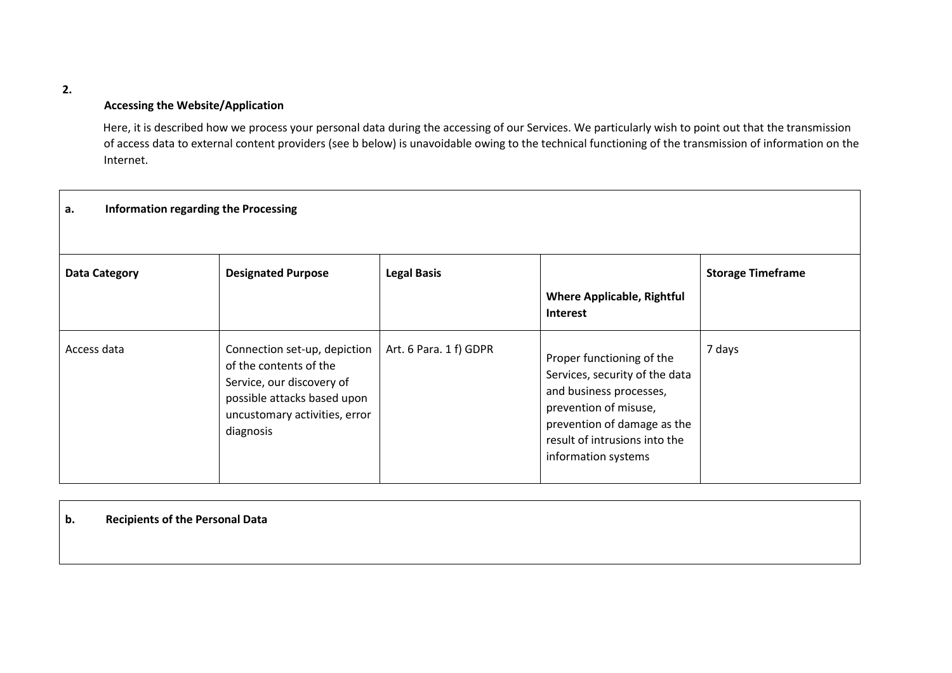#### **2.**

### **Accessing the Website/Application**

Here, it is described how we process your personal data during the accessing of our Services. We particularly wish to point out that the transmission of access data to external content providers (see b below) is unavoidable owing to the technical functioning of the transmission of information on the Internet.

| Information regarding the Processing<br>а. |                                                                                                                                                                  |                        |                                                                                                                                                                                                        |                          |  |
|--------------------------------------------|------------------------------------------------------------------------------------------------------------------------------------------------------------------|------------------------|--------------------------------------------------------------------------------------------------------------------------------------------------------------------------------------------------------|--------------------------|--|
| <b>Data Category</b>                       | <b>Designated Purpose</b>                                                                                                                                        | <b>Legal Basis</b>     | <b>Where Applicable, Rightful</b><br><b>Interest</b>                                                                                                                                                   | <b>Storage Timeframe</b> |  |
| Access data                                | Connection set-up, depiction<br>of the contents of the<br>Service, our discovery of<br>possible attacks based upon<br>uncustomary activities, error<br>diagnosis | Art. 6 Para. 1 f) GDPR | Proper functioning of the<br>Services, security of the data<br>and business processes,<br>prevention of misuse,<br>prevention of damage as the<br>result of intrusions into the<br>information systems | 7 days                   |  |

### **b. Recipients of the Personal Data**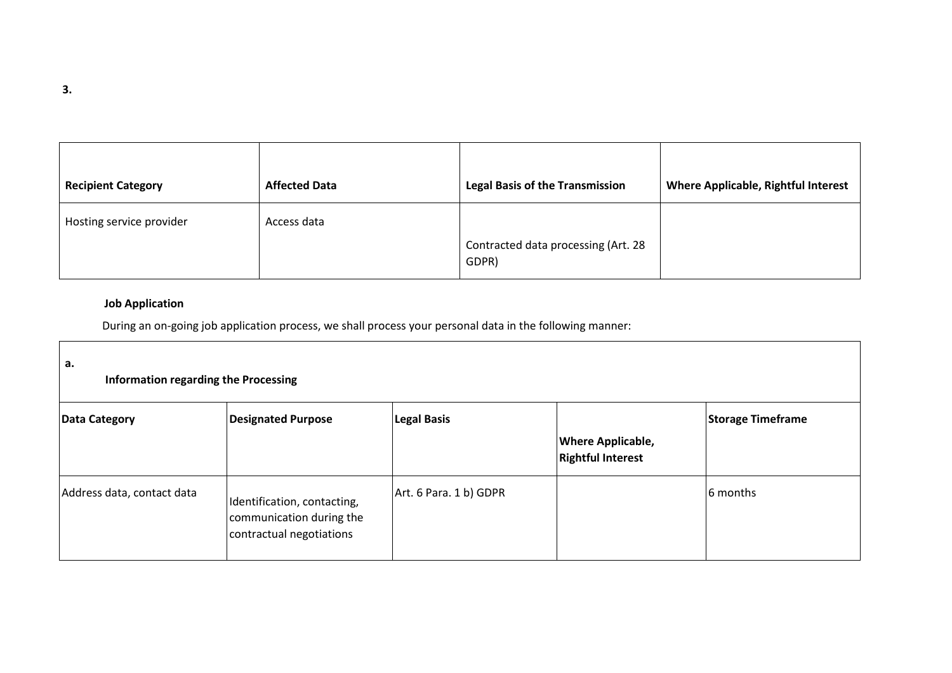| <b>Recipient Category</b> | <b>Affected Data</b> | <b>Legal Basis of the Transmission</b>       | <b>Where Applicable, Rightful Interest</b> |
|---------------------------|----------------------|----------------------------------------------|--------------------------------------------|
| Hosting service provider  | Access data          | Contracted data processing (Art. 28<br>GDPR) |                                            |

# **Job Application**

During an on‐going job application process, we shall process your personal data in the following manner:

| а.<br><b>Information regarding the Processing</b> |                                                                                     |                        |                                                      |                          |  |
|---------------------------------------------------|-------------------------------------------------------------------------------------|------------------------|------------------------------------------------------|--------------------------|--|
| Data Category                                     | <b>Designated Purpose</b>                                                           | <b>Legal Basis</b>     | <b>Where Applicable,</b><br><b>Rightful Interest</b> | <b>Storage Timeframe</b> |  |
| Address data, contact data                        | Identification, contacting,<br>communication during the<br>contractual negotiations | Art. 6 Para. 1 b) GDPR |                                                      | 6 months                 |  |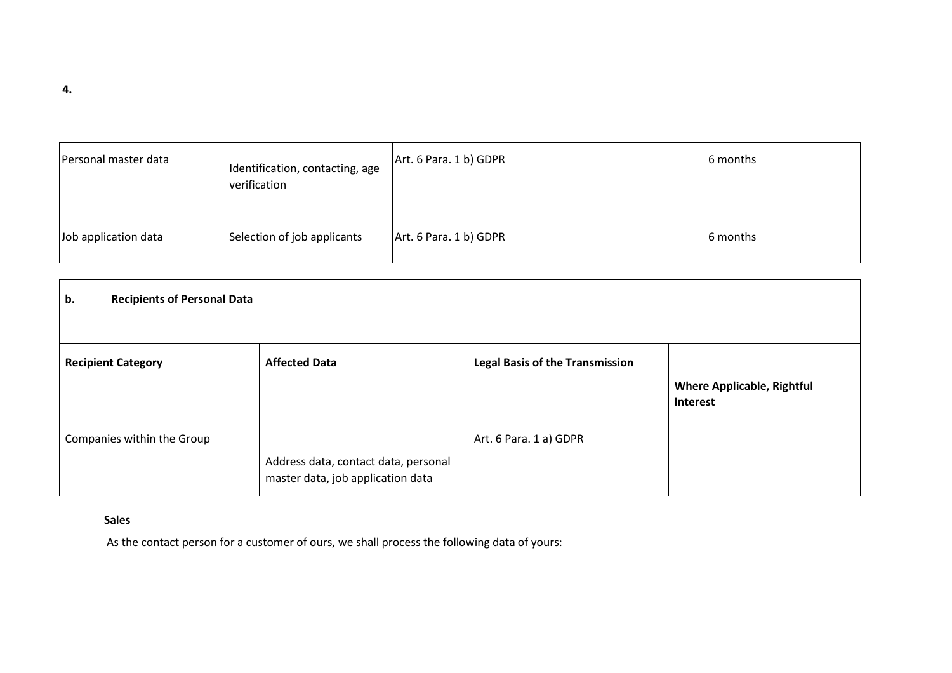| Personal master data | Identification, contacting, age<br>verification | Art. 6 Para. 1 b) GDPR | 6 months |
|----------------------|-------------------------------------------------|------------------------|----------|
| Job application data | Selection of job applicants                     | Art. 6 Para. 1 b) GDPR | 6 months |

| b.<br><b>Recipients of Personal Data</b> |                                                                           |                                        |                                               |
|------------------------------------------|---------------------------------------------------------------------------|----------------------------------------|-----------------------------------------------|
| <b>Recipient Category</b>                | <b>Affected Data</b>                                                      | <b>Legal Basis of the Transmission</b> | <b>Where Applicable, Rightful</b><br>Interest |
| Companies within the Group               | Address data, contact data, personal<br>master data, job application data | Art. 6 Para. 1 a) GDPR                 |                                               |

# **Sales**

As the contact person for a customer of ours, we shall process the following data of yours: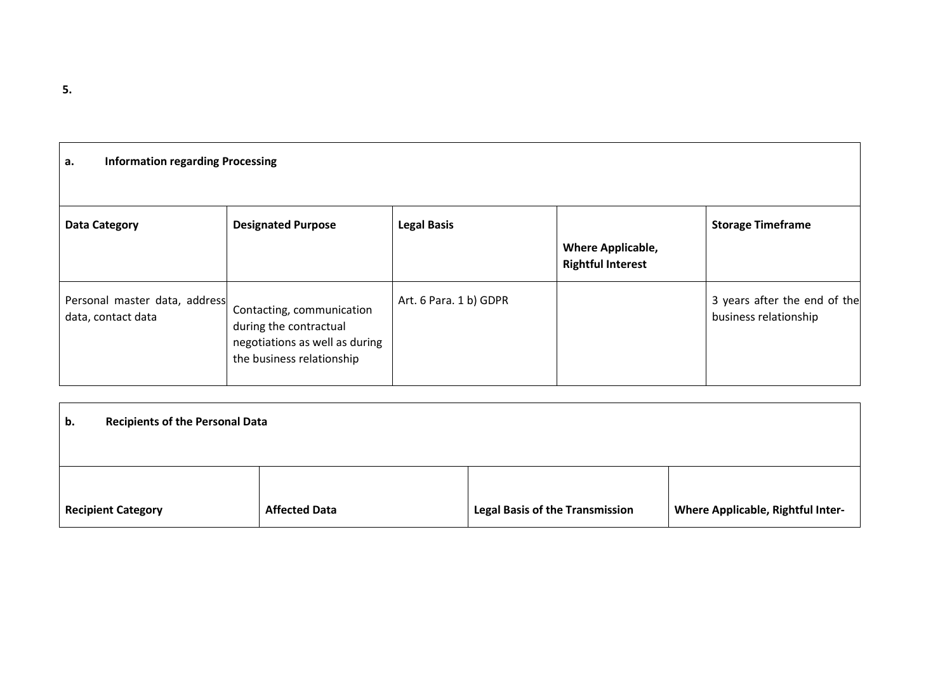| а. | <b>Information regarding Processing</b> |  |  |  |  |
|----|-----------------------------------------|--|--|--|--|
|    |                                         |  |  |  |  |
|    |                                         |  |  |  |  |
|    |                                         |  |  |  |  |

| <b>Data Category</b>                                | <b>Designated Purpose</b>                                                                                          | <b>Legal Basis</b>     | <b>Where Applicable,</b><br><b>Rightful Interest</b> | <b>Storage Timeframe</b>                              |
|-----------------------------------------------------|--------------------------------------------------------------------------------------------------------------------|------------------------|------------------------------------------------------|-------------------------------------------------------|
| Personal master data, address<br>data, contact data | Contacting, communication<br>during the contractual<br>negotiations as well as during<br>the business relationship | Art. 6 Para. 1 b) GDPR |                                                      | 3 years after the end of the<br>business relationship |

| <b>Recipients of the Personal Data</b><br>b. |                      |                                        |                                          |  |  |
|----------------------------------------------|----------------------|----------------------------------------|------------------------------------------|--|--|
|                                              |                      |                                        |                                          |  |  |
|                                              |                      |                                        |                                          |  |  |
| <b>Recipient Category</b>                    | <b>Affected Data</b> | <b>Legal Basis of the Transmission</b> | <b>Where Applicable, Rightful Inter-</b> |  |  |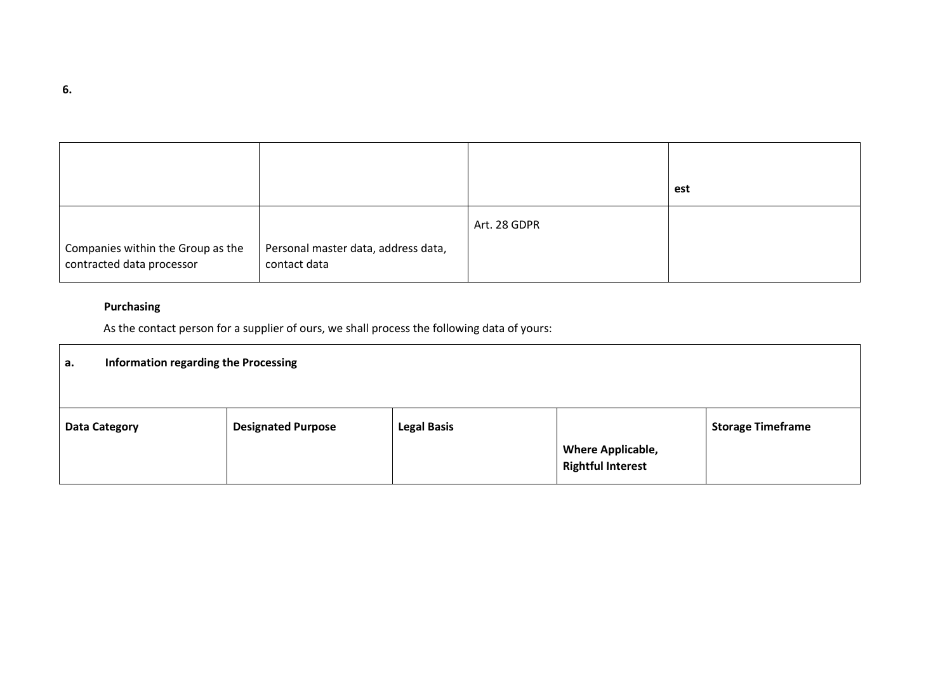|                                                                |                                                     |              | est |
|----------------------------------------------------------------|-----------------------------------------------------|--------------|-----|
| Companies within the Group as the<br>contracted data processor | Personal master data, address data,<br>contact data | Art. 28 GDPR |     |

# **Purchasing**

As the contact person for a supplier of ours, we shall process the following data of yours:

| Information regarding the Processing<br>а. |                           |                    |                                                      |                          |  |
|--------------------------------------------|---------------------------|--------------------|------------------------------------------------------|--------------------------|--|
| <b>Data Category</b>                       | <b>Designated Purpose</b> | <b>Legal Basis</b> |                                                      | <b>Storage Timeframe</b> |  |
|                                            |                           |                    | <b>Where Applicable,</b><br><b>Rightful Interest</b> |                          |  |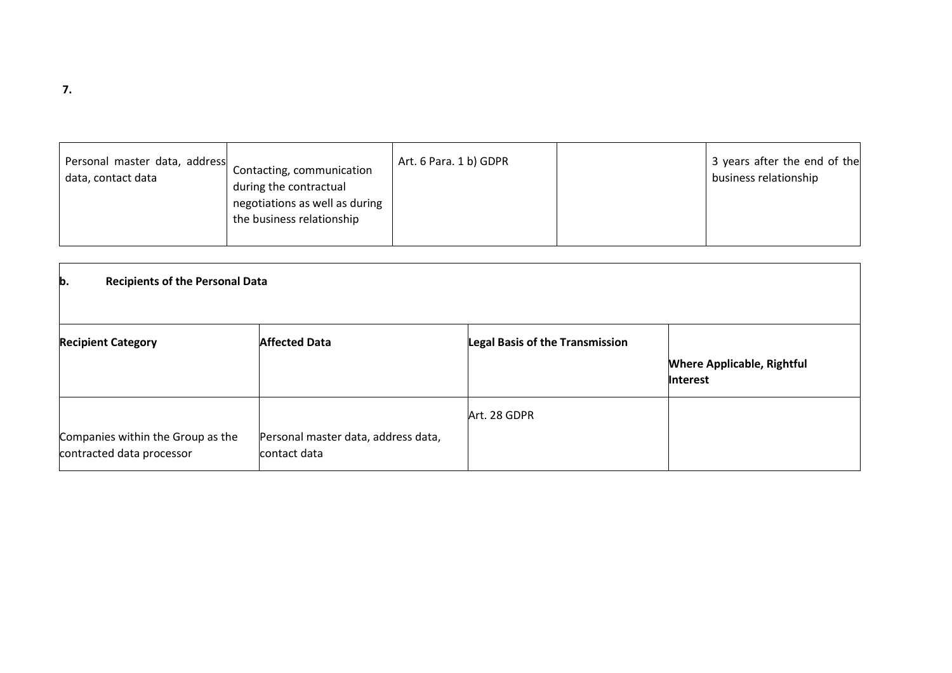| Personal master data, address<br>Contacting, communication<br>data, contact data<br>during the contractual<br>negotiations as well as during<br>the business relationship | Art. 6 Para. 1 b) GDPR |  | 3 years after the end of the<br>business relationship |
|---------------------------------------------------------------------------------------------------------------------------------------------------------------------------|------------------------|--|-------------------------------------------------------|
|---------------------------------------------------------------------------------------------------------------------------------------------------------------------------|------------------------|--|-------------------------------------------------------|

| b.<br><b>Recipients of the Personal Data</b>                   |                                                     |                                        |                                                      |  |  |
|----------------------------------------------------------------|-----------------------------------------------------|----------------------------------------|------------------------------------------------------|--|--|
| <b>Recipient Category</b>                                      | <b>Affected Data</b>                                | <b>Legal Basis of the Transmission</b> | <b>Where Applicable, Rightful</b><br><b>Interest</b> |  |  |
| Companies within the Group as the<br>contracted data processor | Personal master data, address data,<br>contact data | Art. 28 GDPR                           |                                                      |  |  |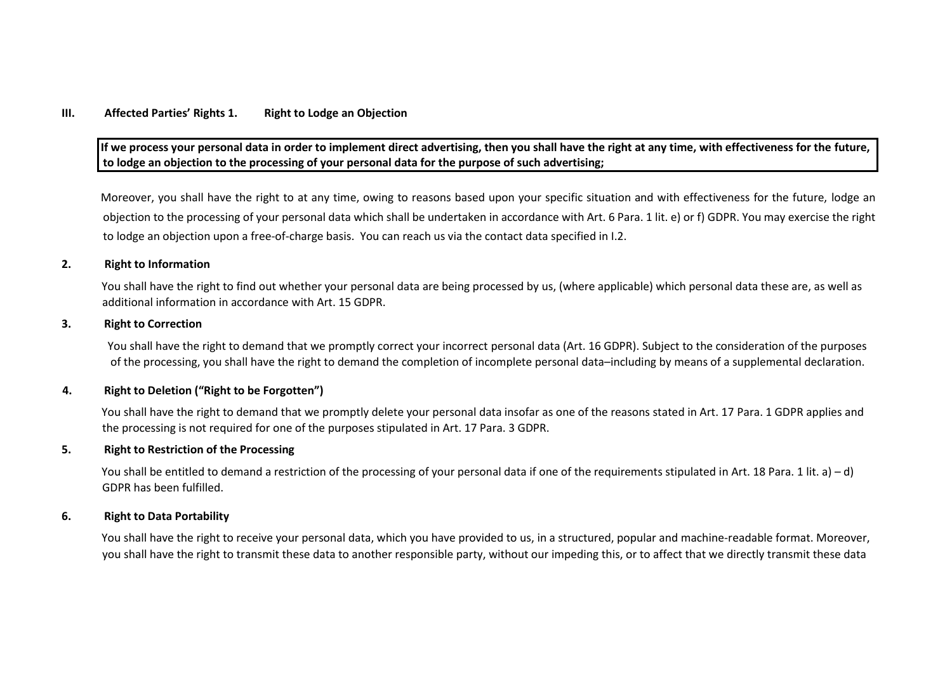### **III. Affected Parties' Rights 1. Right to Lodge an Objection**

**If we process your personal data in order to implement direct advertising, then you shall have the right at any time, with effectiveness for the future, to lodge an objection to the processing of your personal data for the purpose of such advertising;** 

Moreover, you shall have the right to at any time, owing to reasons based upon your specific situation and with effectiveness for the future, lodge an objection to the processing of your personal data which shall be undertaken in accordance with Art. 6 Para. 1 lit. e) or f) GDPR. You may exercise the right to lodge an objection upon a free‐of‐charge basis. You can reach us via the contact data specified in I.2.

#### **2. Right to Information**

You shall have the right to find out whether your personal data are being processed by us, (where applicable) which personal data these are, as well as additional information in accordance with Art. 15 GDPR.

#### **3. Right to Correction**

You shall have the right to demand that we promptly correct your incorrect personal data (Art. 16 GDPR). Subject to the consideration of the purposes of the processing, you shall have the right to demand the completion of incomplete personal data–including by means of a supplemental declaration.

### **4. Right to Deletion ("Right to be Forgotten")**

You shall have the right to demand that we promptly delete your personal data insofar as one of the reasons stated in Art. 17 Para. 1 GDPR applies and the processing is not required for one of the purposes stipulated in Art. 17 Para. 3 GDPR.

#### **5. Right to Restriction of the Processing**

You shall be entitled to demand a restriction of the processing of your personal data if one of the requirements stipulated in Art. 18 Para. 1 lit. a) – d) GDPR has been fulfilled.

#### **6. Right to Data Portability**

You shall have the right to receive your personal data, which you have provided to us, in a structured, popular and machine-readable format. Moreover, you shall have the right to transmit these data to another responsible party, without our impeding this, or to affect that we directly transmit these data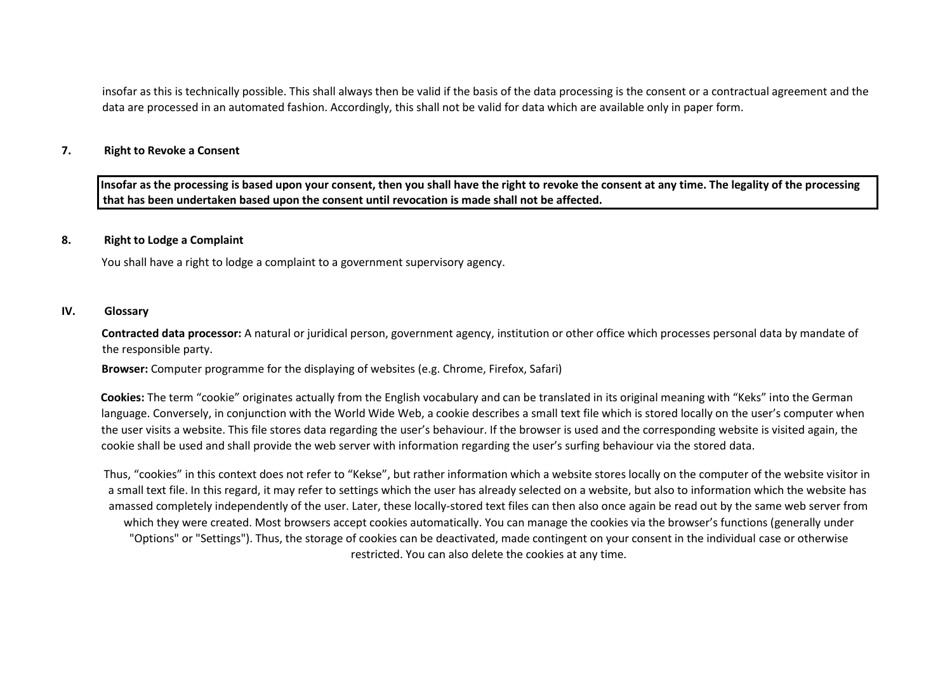insofar as this is technically possible. This shall always then be valid if the basis of the data processing is the consent or a contractual agreement and the data are processed in an automated fashion. Accordingly, this shall not be valid for data which are available only in paper form.

### **7. Right to Revoke a Consent**

**Insofar as the processing is based upon your consent, then you shall have the right to revoke the consent at any time. The legality of the processing that has been undertaken based upon the consent until revocation is made shall not be affected.** 

### **8. Right to Lodge a Complaint**

You shall have a right to lodge a complaint to a government supervisory agency.

### **IV. Glossary**

**Contracted data processor:** A natural or juridical person, government agency, institution or other office which processes personal data by mandate of the responsible party.

**Browser:** Computer programme for the displaying of websites (e.g. Chrome, Firefox, Safari)

**Cookies:** The term "cookie" originates actually from the English vocabulary and can be translated in its original meaning with "Keks" into the German language. Conversely, in conjunction with the World Wide Web, a cookie describes a small text file which is stored locally on the user's computer when the user visits a website. This file stores data regarding the user's behaviour. If the browser is used and the corresponding website is visited again, the cookie shall be used and shall provide the web server with information regarding the user's surfing behaviour via the stored data.

Thus, "cookies" in this context does not refer to "Kekse", but rather information which a website stores locally on the computer of the website visitor in a small text file. In this regard, it may refer to settings which the user has already selected on a website, but also to information which the website has amassed completely independently of the user. Later, these locally-stored text files can then also once again be read out by the same web server from which they were created. Most browsers accept cookies automatically. You can manage the cookies via the browser's functions (generally under "Options" or "Settings"). Thus, the storage of cookies can be deactivated, made contingent on your consent in the individual case or otherwise restricted. You can also delete the cookies at any time.